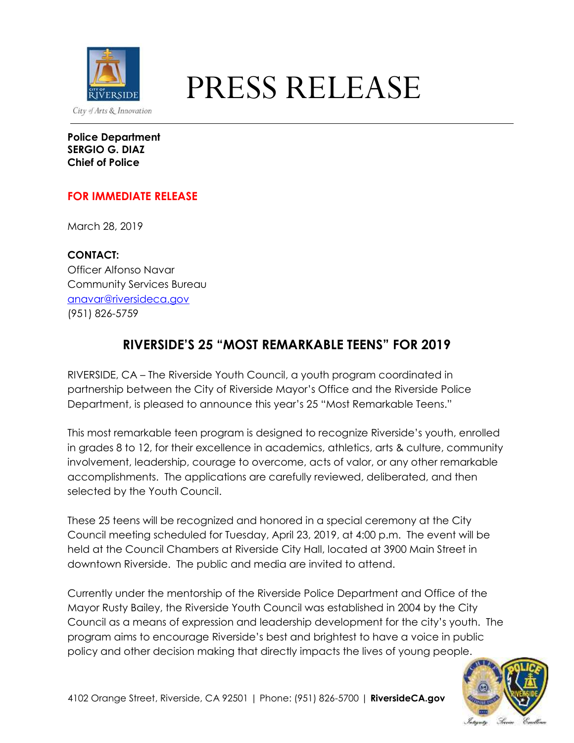

# EXPRESS RELEASE

**Police Department SERGIO G. DIAZ Chief of Police**

## **FOR IMMEDIATE RELEASE**

March 28, 2019

**CONTACT:** Officer Alfonso Navar Community Services Bureau [anavar@riversideca.gov](mailto:anavar@riversideca.gov) (951) 826-5759

## **RIVERSIDE'S 25 "MOST REMARKABLE TEENS" FOR 2019**

RIVERSIDE, CA – The Riverside Youth Council, a youth program coordinated in partnership between the City of Riverside Mayor's Office and the Riverside Police Department, is pleased to announce this year's 25 "Most Remarkable Teens."

This most remarkable teen program is designed to recognize Riverside's youth, enrolled in grades 8 to 12, for their excellence in academics, athletics, arts & culture, community involvement, leadership, courage to overcome, acts of valor, or any other remarkable accomplishments. The applications are carefully reviewed, deliberated, and then selected by the Youth Council.

These 25 teens will be recognized and honored in a special ceremony at the City Council meeting scheduled for Tuesday, April 23, 2019, at 4:00 p.m. The event will be held at the Council Chambers at Riverside City Hall, located at 3900 Main Street in downtown Riverside. The public and media are invited to attend.

Currently under the mentorship of the Riverside Police Department and Office of the Mayor Rusty Bailey, the Riverside Youth Council was established in 2004 by the City Council as a means of expression and leadership development for the city's youth. The program aims to encourage Riverside's best and brightest to have a voice in public policy and other decision making that directly impacts the lives of young people.